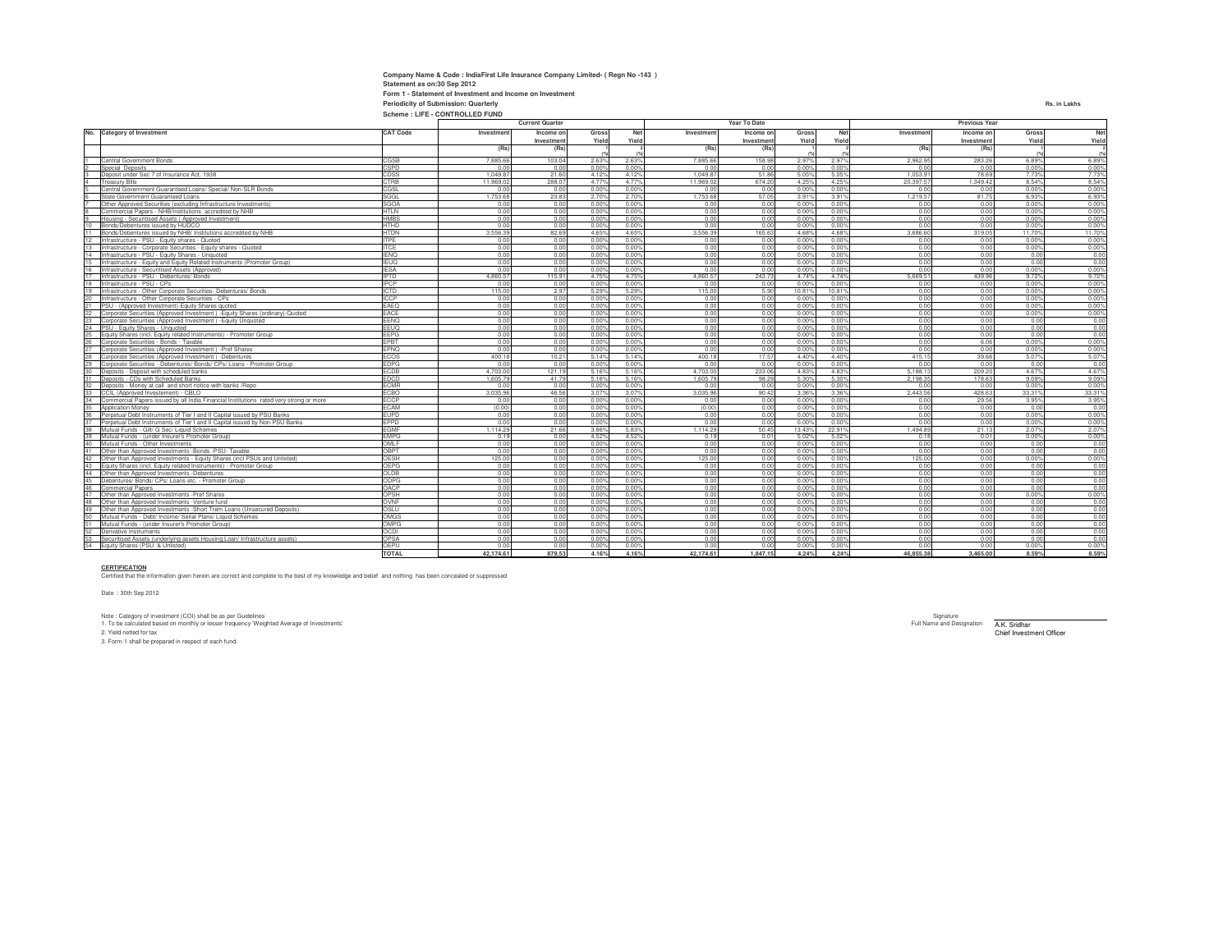| Company Name & Code: IndiaFirst Life Insurance Company Limited- (Regn No-143) |              |
|-------------------------------------------------------------------------------|--------------|
| Statement as on:30 Sep 2012                                                   |              |
| Form 1 - Statement of Investment and Income on Investment                     |              |
| <b>Periodicity of Submission: Quarterly</b>                                   | Rs. in Lakhs |
| Scheme: LIFE - CONTROLLED FUND                                                |              |

|                |                                                                                                                                              |                            | <b>Current Quarter</b> |                         |                | Year To Date   |              |                        | Previous Year  |                 |              |                         |                |                |
|----------------|----------------------------------------------------------------------------------------------------------------------------------------------|----------------------------|------------------------|-------------------------|----------------|----------------|--------------|------------------------|----------------|-----------------|--------------|-------------------------|----------------|----------------|
| No.            | <b>Category of Investment</b>                                                                                                                | <b>CAT Code</b>            | Investment             | Income on<br>Investment | Gross<br>Yield | Net<br>Yield   | Investment   | Income on<br>Investmen | Gross<br>Yield | Net<br>Yield    | Investment   | Income on<br>Investment | Gross<br>Yield | Net<br>Yield   |
|                |                                                                                                                                              |                            | (Rs)                   | (Rs)                    |                |                | (Rs)         | (Rs)                   |                |                 | (Rs)         | (Rs)                    |                | (99)           |
|                | Central Government Bonds                                                                                                                     | CGSB                       | 7,885.66               | 103.04                  | 2.63%          | 2.63%          | 7,885.66     | 158.98                 | 2.97%          | 2.97%           | 2.962.95     | 283.26                  | 6.89%          | 6.89%          |
|                | Special Deposits                                                                                                                             | CSPD                       | 0.00                   | 0.00                    | 0.00%          | 0.00%          | 0.00         | 0.00                   | 0.00%          | 0.00%           | 0.00         | 0.00                    | 0.00%          | 0.00%          |
|                | Deposit under Sec 7 of Insurance Act. 1938                                                                                                   | CDSS                       | 1.049.87               | 21.60                   | 4.129          | 4.129          | 1.049.87     | 51.86                  | 5.05%          | 5.05%           | 1.053.91     | 78.69                   | 7.73%          | 7.73%          |
|                | <b>Treasury Bills</b>                                                                                                                        | CTRB                       | 11.969.02              | 288.07                  | 4.77%          | 4 7 7 %        | 11.969.02    | 674.20                 | 4.25%          | 4.25%           | 20.397.57    | 1.349.42                | 8.54%          | 8.54%          |
|                | Central Government Guaranteed Loans/ Special/ Non-SLR Bonds                                                                                  | CGSL                       | 0.00                   | 0.00                    | 0.00%          | 0.00%          | 0.00         | 0.00                   | 0.00%          | 0.00%           | 0.00         | 0.00                    | 0.00%          | 0.00%          |
|                | State Government Guaranteed Loans                                                                                                            | SGGL                       | 1,753.68               | 23.83                   | 2.70%          | 2.70%          | 1,753.68     | 57.05                  | 3.91%          | 3.91%           | 1.219.57     | 81.75                   | 6.93%          | 6.93%          |
|                | Other Approved Securities (excluding Infrastructure Investments)                                                                             | <b>SGOA</b>                | 0.00                   | 0.00                    | 0.00%          | 0.00%          | 0.00         | 0.00                   | 0.00%          | 0.00%           | 0.00         | 0.00                    | 0.00%          | 0.00%          |
|                | Commercial Papers - NHB/Institutions accredited by NHB                                                                                       | <b>HTLN</b>                | 0.00                   | 0.00                    | 0.00%          | 0.00%          | 0.00         | 0.00                   | 0.00%          | 0.00%           | 0.00         | 0.00                    | 0.00%          | 0.00%          |
|                | Housing - Securitised Assets (Approved Investment)                                                                                           | <b>HMBS</b>                | 0.00                   | 0.00                    | 0.00%          | 0.00%          | 0.00         | 0.00                   | 0.00%          | 0.00%           | 0.00         | 0.00                    | 0.00%          | 0.00%          |
| 10             | Bonds/Debentures issued by HUDCO                                                                                                             | <b>HTHD</b>                | 0.00                   | 0.00                    | 0.00%          | 0.00           | 0.00         | 0.00                   | 0.00%          | 0.00%           | 0.00         | 0.00                    | 0.00%          | 0.00%          |
| 11             | Bonds/Debentures issued by NHB/ Institutions accredited by NHB                                                                               | <b>HTDN</b>                | 3.556.39               | 82.69                   | 4.65%          | 4.65%          | 3.556.39     | 165.63                 | 4.68%          | 4.68%           | 3.686.60     | 319.05                  | 11.70%         | 11.70%         |
| 12             | Infrastructure - PSU - Equity shares - Quoted                                                                                                | <b>ITPE</b>                | 0.00                   | 0.00                    | 0.00%          | 0.00           | 0.00         | 0.00                   | 0.00%          | 0.00%           | 0.00         | 0.00                    | 0.00%          | 0.00%          |
| 13             | Infrastructure - Corporate Securities - Equity shares - Quoted                                                                               | <b>ITCE</b>                | 0.00                   | 0.00                    | 0.00%          | 0.00%          | 0.00         | 0.00                   | 0.00%          | 0.00%           | 0.00         | 0.00                    | 0.00%          | 0.00%          |
| 14             | nfrastructure - PSU - Equity Shares - Unquoted                                                                                               | <b>IENO</b>                | 0.00                   | 0.00                    | 0.00%          | 0.00           | 0.00         | 0.00                   | 0.00%          | 0.00%           | 0.00         | 0.00                    | 0.00           | 0.00           |
| 15             | Infrastructure - Equity and Equity Related Instruments (Promoter Group)                                                                      | <b>IEUQ</b>                | 0.00                   | 0.00                    | 0.00%          | 0.00%          | 0.00         | 0.00                   | 0.00%          | 0.00%           | 0.00         | 0.00                    | 0.00           | 0.00           |
| 16             | nfrastructure - Securitised Assets (Approved)                                                                                                | <b>IESA</b>                | 0.00                   | 0.00                    | 0.00%          | 0.00%          | 0.00         | 0.00                   | 0.00%          | 0.00%           | 0.00         | 0.00                    | 0.00%          | 0.00%          |
| 17             | Infrastructure - PSU - Debentures/ Bonds                                                                                                     | <b>IPTD</b>                | 4,860.57               | 115.91                  | 4.75%          | 4.75%          | 4.860.57     | 243.73                 | 4.74%          | 4.74%           | 5.669.51     | 439.96                  | 9.72%          | 9.72%          |
| 18             | Infrastructure - PSU - CPs                                                                                                                   | <b>IPCP</b>                | 0.00                   | 0.00                    | 0.00%          | 0.00%          | 0.00         | 0.00                   | 0.00%          | 0.00%           | 0.00         | 0.00                    | 0.00%          | 0.00%          |
| 19             | Infrastructure - Other Corporate Securities- Debentures/ Bonds                                                                               | <b>ICTD</b>                | 115.00                 | 2.97                    | 5.29%          | 5.29%<br>0.00% | 115.00       | 5.90                   | 10.81%         | 10.81%<br>0.00% | 0.00         | 0.00                    | 0.00%<br>0.00% | 0.00%          |
| 20<br>21       | Infrastructure - Other Corporate Securities - CPs                                                                                            | <b>ICCP</b>                | 0.00                   | 0.00                    | 0.00%          |                | 0.00         | 0.00                   | 0.00%          |                 | 0.00         | 0.00                    |                | 0.00%          |
| 22             | PSU - (Approved Investment)-Equity Shares quoted                                                                                             | EAEQ<br>EACE               | 0.00<br>0.00           | 0.00<br>0.00            | 0.00%<br>0.00% | 0.00%<br>0.00% | 0.00<br>0.00 | 0.00<br>0.00           | 0.00%<br>0.00% | 0.00%<br>0.00%  | 0.00<br>0.00 | 0.00<br>0.00            | 0.00%<br>0.00% | 0.00%<br>0.00% |
| 23             | Corporate Securities (Approved Investment) - Equity Shares (ordinary)-Quoted<br>Corporate Securities (Approved Investment) - Equity Unquoted | EENQ                       | 0.00                   | 0.00                    | 0.00%          | 0.00%          | 0.00         | 0.00                   | 0.00%          | 0.00%           | 0.00         | 0.00                    | 0.00           | 0.00           |
| 24             | PSU - Equity Shares - Unquoted                                                                                                               | EEUQ                       | 0.00                   | 0.00                    | 0.00%          | 0.00%          | 0.00         | 0.00                   | 0.00%          | 0.00%           | 0.00         | 0.00                    | 0.00           | 0.00           |
|                | Equity Shares (incl. Equity related Instruments) - Promoter Group                                                                            | EEPG                       | 0.00                   | 0.00                    | 0.00%          | 0.00%          | 0.00         | 0.00                   | 0.00%          | 0.00%           | 0.00         | 0.00                    | 0.00           | 0.00           |
| 25<br>26       | Cornorate Securities - Bonds - Taxable                                                                                                       | EPBT                       | 0.00                   | 0.00                    | 0.00%          | 0.00%          | 0.00         | 0.00                   | 0.00%          | 0.00%           | 0.00         | 6.06                    | 0.00%          | 0.00%          |
| 27             | Corporate Securities (Approved Investment) -Pref Shares                                                                                      | EPNO                       | 0.00                   | 0.00                    | 0.00%          | 0.00%          | 0.00         | 0.00                   | 0.00%          | 0.00%           | 0.00         | 0.00                    | 0.00%          | 0.00%          |
|                | Corporate Securities (Approved Investment) -Debentures                                                                                       | ECOS                       | 400 18                 | 10.21                   | 5.14%          | 5.14%          | 400.18       | 17.57                  | 4.40%          | 4.40%           | 415 15       | 39.66                   | 5.07%          | 5.07%          |
|                | Corporate Securities - Debentures/ Bonds/ CPs/ Loans - Promoter Group                                                                        | <b>EDPG</b>                | 0.00                   | 0.00                    | 0.00%          | 0.00%          | 0.00         | 0.00                   | 0.00%          | 0.00%           | 0.00         | 0.00                    | 0.00           | 0.00           |
| $rac{29}{30}$  | Deposits - Deposit with scheduled banks                                                                                                      | <b>FCDB</b>                | 4.703.00               | 121.19                  | 5.16%          | 5.16%          | 4.703.00     | 233.06                 | 4.83%          | 483%            | 5.188.13     | 209.20                  | 4.67%          | 4.67%          |
| 31             | Deposits - CDs with Scheduled Banks                                                                                                          | <b>FDCD</b>                | 1.605.79               | 41.79                   | 5.16%          | 5 1 6 %        | 1 605 79     | 98.29                  | 5.30%          | 5.30%           | 2.198.35     | 178.63                  | 9.09%          | 9.09%          |
| 32             | Deposits - Money at call and short notice with banks /Repo                                                                                   | <b>FCMR</b>                | 0.00                   | 0.00                    | 0.00%          | 0.00%          | 0.00         | 0.00                   | 0.00%          | 0.00%           | 0.00         | 0.00                    | 0.00%          | 0.00%          |
| 33             | CCIL (Approved Investement) - CBLO                                                                                                           | ECBO                       | 3.035.96               | 46.56                   | 3.07%          | 3.07%          | 3.035.96     | 90.42                  | 3.36%          | 3.36%           | 2.443.56     | 428.63                  | 33.31%         | 33.31%         |
|                | Commercial Papers issued by all India Financial Institutions rated very strong or more                                                       | ECCP                       | 0.00                   | 0.00                    | 0.00%          | 0.00%          | 0.00         | 0.00                   | 0.00%          | 0.00%           | 0.00         | 29.56                   | 3.95%          | 3.95%          |
| 34<br>35<br>36 | Application Money                                                                                                                            | ECAM                       | (0.00)                 | 0.00                    | 0.00%          | 0.00%          | (0.00)       | 0.00                   | 0.00%          | 0.00%           | 0.00         | 0.00                    | 0.00           | 0.00           |
|                | Perpetual Debt Instruments of Tier I and II Capital issued by PSU Banks                                                                      | <b>EUPD</b>                | 0.00                   | 0.00                    | 0.00%          | 0.00%          | 0.00         | 0.00                   | 0.00%          | 0.00%           | 0.00         | 0.00                    | 0.00%          | 0.00%          |
|                | Perpetual Debt Instruments of Tier I and II Capital issued by Non-PSU Banks                                                                  | <b>EPPD</b>                | 0.00                   | 0.00                    | 0.00%          | 0.00%          | 0.00         | 0.00                   | 0.00%          | 0.00%           | 0.00         | 0.00                    | 0.00%          | 0.00%          |
| 38             | Mutual Funds - Gilt/ G Sec/ Liquid Schemes                                                                                                   | <b>EGMF</b>                | 1.114.29               | 21.66                   | 3.86%          | 5.83%          | 1.114.29     | 50.45                  | 13.43%         | 22.91%          | 1 494 89     | 21.13                   | 2.07%          | 2.07%          |
| 39             | Mutual Funds - (under Insurer's Promoter Group)                                                                                              | <b>EMPG</b>                | 0.19                   | 0.00                    | 4.529          | 4.529          | 0.19         | 0.01                   | 5.02%          | 5.02%           | 0.18         | 0.01                    | 0.00%          | 0.00%          |
| 40             | Mutual Funds - Other Investments                                                                                                             | OMI F                      | 0.00                   | 0.00                    | 0.00%          | 0.00%          | 0.00         | 0.00                   | 0.00%          | 0.00%           | 0.00         | 0.00                    | 0.00           | 0.00           |
|                | Other than Approved Investments -Bonds -PSU- Taxable                                                                                         | OBPT                       | 0.00                   | 0.00                    | 0.00%          | 0.00           | 0.00         | 0.00                   | 0.00%          | 0.00%           | 0.00         | 0.00                    | 0.00           | 0.00           |
| 42             | Other than Approved Investments - Equity Shares (incl PSUs and Unlisted)                                                                     | OESH                       | 125.00                 | 0.00                    | 0.00%          | 0.00%          | 125.00       | 0.00                   | 0.00%          | 0.00%           | 125.00       | 0.00                    | 0.00%          | 0.00%          |
| 43             | Equity Shares (incl. Equity related Instruments) - Promoter Group                                                                            | <b>OEPG</b>                | 0.00                   | 0.00                    | 0.00%          | 0.00           | 0.00         | 0.00                   | 0.00%          | 0.00%           | 0.00         | 0.00                    | 0.00           | 0.00           |
| 44             | Other than Approved Investments -Debentures                                                                                                  | OLDB                       | 0.00                   | 0.00                    | 0.00%          | 0.00%          | 0.00         | 0.00                   | 0.00%          | 0.00%           | 0.00         | 0.00                    | 0.00           | 0.00           |
| 45             | Debentures/ Bonds/ CPs/ Loans etc. - Promoter Group                                                                                          | ODPG                       | 0.00                   | 0.00                    | 0.00%          | 0.00           | 0.00         | 0.00                   | 0.00%          | 0.00%           | 0.00         | 0.00                    | 0.00           | 0.00           |
| 46             | Commercial Papers                                                                                                                            | OACP                       | 0.00                   | 0.00                    | 0.005          | 0.00           | 0.00         | 0.00                   | 0.00%          | 0.00%           | 0.00         | 0.00                    | 0.00           | 0.00           |
| 47             | Other than Approved Investments -Pref Shares                                                                                                 | OPSH                       | 0.00                   | 0.00                    | 0.00%          | 0.00           | 0.00         | 0.00                   | 0.00%          | 0.00%           | 0.00         | 0.00                    | 0.00%          | 0.00%          |
| 48             | Other than Approved Investments - Venture fund                                                                                               | OVNF                       | 0.00                   | 0.00                    | 0.00%          | 0.00%          | 0.00         | 0.00                   | 0.00%          | 0.00%           | 0.00         | 0.00                    | 0.00           | 0.00           |
| 49             | Other than Approved Investments -Short Trem Loans (Unsecured Deposits)                                                                       | OSLU                       | 0.00                   | 0.00                    | 0.00%          | 0.00%          | 0.00         | 0.00                   | 0.00%          | 0.00%           | 0.00         | 0.00                    | 0.00           | 0.00           |
| 50             | Mutual Funds - Debt/ Income/ Serial Plans/ Liquid Schemes                                                                                    | OMGS                       | 0.00                   | 0.00                    | 0.00%          | 0.00%          | 0.00         | 0.00                   | 0.00%          | 0.00%           | 0.00         | 0.00                    | 0.00           | 0.00           |
|                | Mutual Funds - (under Insurer's Promoter Group)                                                                                              | OMPG                       | 0.00                   | 0.00                    | 0.00%          | 0.00%          | 0.00         | 0.00                   | 0.00%          | 0.00%           | 0.00         | 0.00                    | 0.00           | 0.00           |
| 52<br>53       | Derivative Instruments                                                                                                                       | <b>OCDI</b><br><b>OPSA</b> | 0.00<br>0.00           | 0.00<br>0.00            | 0.00%          | 0.00%<br>0.00% | 0.00<br>0.00 | 0.00<br>0.00           | 0.00%<br>0.00% | 0.00%<br>0.00%  | 0.00<br>0.00 | 0.00<br>0.00            | 0.00<br>0.00   | 0.00<br>0.00   |
| 54             | Securitised Assets (underlying assets Housing Loan/ Infrastructure assets)<br>Equity Shares (PSU & Unlisted)                                 | OFPU                       | 0.00                   | 0.00                    | 0.00%<br>0.00% | 0.00%          | 0.00         | 0.00                   | 0.00%          | 0.00%           | 0.00         | 0.00                    | 0.00%          | 0.00%          |
|                |                                                                                                                                              | <b>TOTAL</b>               | 42.174.61              | 879.53                  | 4.16%          | 4.16%          | 42.174.61    | 1.847.15               | 4.24%          | 4.24%           | 46.855.38    | 3.465.00                | 8.59%          | 8.59%          |
|                |                                                                                                                                              |                            |                        |                         |                |                |              |                        |                |                 |              |                         |                |                |

**CERTIFICATION** Certified that the information given herein are correct and complete to the best of my knowledge and belief and nothing has been concealed or suppressed

Date : 30th Sep 2012

Note:Calegory of investment (CO) shall be as per Guidelines<br>2. Yeld network the found of the search of the production of the strategies of investments' Full Name and Designation and Designation A.K. Srightar<br>2. Yeld networ

tment Officer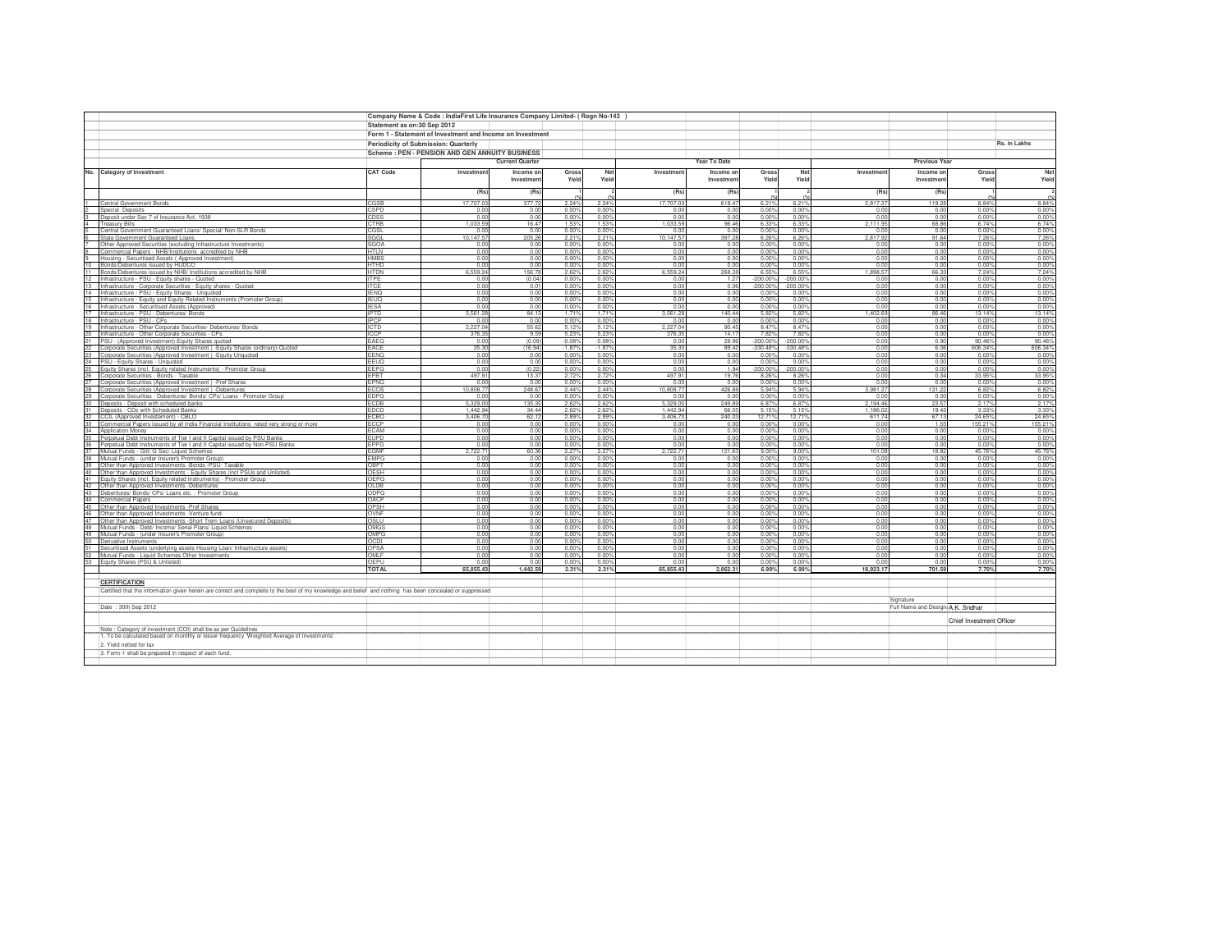|          |                                                                                                                                                          | Company Name & Code : IndiaFirst Life Insurance Company Limited- ( Regn No-143 |                                                           |                        |                   |                   |                    |                         |                   |                   |                     |                                    |                          |                         |
|----------|----------------------------------------------------------------------------------------------------------------------------------------------------------|--------------------------------------------------------------------------------|-----------------------------------------------------------|------------------------|-------------------|-------------------|--------------------|-------------------------|-------------------|-------------------|---------------------|------------------------------------|--------------------------|-------------------------|
|          |                                                                                                                                                          | Statement as on:30 Sep 2012                                                    |                                                           |                        |                   |                   |                    |                         |                   |                   |                     |                                    |                          |                         |
|          |                                                                                                                                                          |                                                                                | Form 1 - Statement of Investment and Income on Investment |                        |                   |                   |                    |                         |                   |                   |                     |                                    |                          |                         |
|          |                                                                                                                                                          |                                                                                |                                                           |                        |                   |                   |                    |                         |                   |                   |                     |                                    |                          | Rs. in Lakhs            |
|          |                                                                                                                                                          |                                                                                | Periodicity of Submission: Quarterly                      |                        |                   |                   |                    |                         |                   |                   |                     |                                    |                          |                         |
|          |                                                                                                                                                          | Scheme: PEN - PENSION AND GEN ANNUITY BUSINESS                                 |                                                           |                        |                   |                   |                    | Year To Date            |                   |                   |                     | Previous Year                      |                          |                         |
|          |                                                                                                                                                          |                                                                                |                                                           | <b>Current Quarter</b> |                   |                   |                    |                         |                   |                   |                     |                                    |                          |                         |
|          | No. Category of Investment                                                                                                                               | <b>CAT Code</b>                                                                | Investmen                                                 | Income or<br>Investmen | Gross<br>Yield    | Net<br>Yield      | Investmen          | Income on<br>Investment | Gross<br>Yield    | Net<br>Yield      | Investment          | Income on<br>Investmen             | Gross<br>Yield           | Net<br>Yield            |
|          |                                                                                                                                                          |                                                                                |                                                           |                        |                   |                   |                    |                         |                   |                   |                     |                                    |                          |                         |
|          |                                                                                                                                                          |                                                                                | (Rs)                                                      | (Rs)                   |                   |                   | (Rs)               | (Rs)                    |                   |                   | (Rs)                | (Rs)                               |                          |                         |
|          | <b>Central Government Bonds</b>                                                                                                                          | CGSE                                                                           | 17,707.0                                                  | 377.7                  | 2.24%             | 2.24%             | 17,707.0           | 618.47                  | 6.21%             | 6.21%             | 2.817.37            | 119.2                              | 8.84%                    | 8.84%                   |
|          | Special Deposits                                                                                                                                         | CSPD                                                                           | 0.0                                                       | 0.00                   | 0.00%             | 0.00%             | 0.0                | 0.00                    | 0.00%             | 0.00%             | 0.00                | 0.01                               | 0.00%                    | 0.00%                   |
|          | Deposit under Sec 7 of Insurance Act. 1938                                                                                                               | CDSS                                                                           | 0.01                                                      | 0.00                   | 0.00%             | 0.00%             | 0.00               | 0.00                    | 0.00%             | 0.00%             | 0.00                | 0.00                               | 0.00%                    | 0.00%                   |
|          | reasury Bills<br>Central Government Guaranteed Loans/ Special/ Non-SLR Bonds                                                                             | CTRE<br>CGSL                                                                   | 1.033.5<br>0.0                                            | 16.4<br>0.01           | 1.53%<br>0.00     | 1.53%<br>0.00%    | 1.033.5<br>0.0     | 96.46<br>0.00           | 6.33%<br>0.00%    | 6.33%<br>0.00%    | 2.111.95<br>0.00    | 68.86<br>0.00                      | 6.74%<br>0.00%           | 6.74%<br>0.00%          |
|          | State Government Guaranteed Loans                                                                                                                        | SGGI                                                                           | 10 147 5                                                  | 205.2                  | 2.219             | 2.21%             | 10 147 5           | 387 28                  | 6.26%             | 6.26%             | 261792              | 91 64                              | 7 26%                    | 7.26%                   |
|          | Other Approved Securities (excluding Infrastructure Investments)                                                                                         | SGOA                                                                           | 0.01                                                      | 0.00                   | 0.00%             | 0.00%             | 0.0                | 0.00                    | 0.00%             | 0.00%             | 0.00                | 0 <sup>0</sup>                     | 0.00%                    | 0.00%                   |
|          | Commercial Papers - NHB/Institutions accredited by NHB                                                                                                   | HTLN                                                                           | 0.00                                                      | 0.00                   | 0.00%             | 0.00%             | 0.00               | 0.00                    | 0.00%             | 0.00%             | 0.00                | 0.00                               | 0.00%                    | 0.00%                   |
|          | Housing - Securitised Assets (Approved Investment)                                                                                                       | <b>HMBS</b><br>HTHD                                                            | 0.00<br>0.01                                              | 0.00<br>0.00           | 0.00%             | 0.00%<br>0.00%    | 0.00<br>0.0        | 0.00<br>0.00            | 0.00%             | 0.00%             | 0.00<br>0.00        | 0.00<br>0.00                       | 0.00%<br>0.00%           | 0.00%<br>0.00%          |
| 10       | Bonds/Debentures issued by HUDCO<br>Bonds/Debentures issued by NHB/ Institutions accredited by NHB                                                       | HTDN                                                                           | 6,559.2                                                   | 156.7                  | 0.00%<br>2.62%    | 2.62%             | 6,559.2            | 268.28                  | 0.00%<br>6.55%    | 0.00%<br>6.55%    | ,898.57             | 66.33                              | 7.24%                    | 7.24%                   |
|          | Infrastructure - PSU - Equity shares - Quoted                                                                                                            | <b>ITPF</b>                                                                    | 0.00                                                      | (0.04)                 | 0.00%             | 0.00%             | 0.0                | 1.27                    | $-200.00$         | 200.00%           | 0.00                | 0.00                               | 0.00%                    | 0.00%                   |
| 13       | Infrastructure - Corporate Securities - Equity shares - Quoted                                                                                           | <b>ITCE</b>                                                                    | 0.00                                                      | 0.0                    | 0.00%             | 0.00%             | 0.00               | 0.06                    | $-200.00%$        | $-200.00%$        | 0.00                | 0.00                               | 0.00%                    | 0.00%                   |
| 14       | Infrastructure - PSU - Equity Shares - Unquoted                                                                                                          | <b>IENO</b>                                                                    | 0.00                                                      | 0.00                   | 0.00%             | 0.00%             | 0.00               | 0.00                    | 0.00%             | 0.00%             | 0.00                | 0.00                               | 0.00%                    | 0.00%                   |
| 15<br>16 | Infrastructure - Equity and Equity Related Instruments (Promoter Group)<br>Infrastructure - Securitised Assets (Approved)                                | <b>IEUQ</b><br><b>IESA</b>                                                     | 0.00<br>0.00                                              | 0.00<br>0.00           | 0.00%<br>0.00%    | 0.00%<br>0.00%    | 0.00<br>0.00       | 0.00<br>0.00            | 0.00%<br>0.00%    | 0.00%<br>0.00%    | 0.00<br>0.00        | 0.00<br>0.00                       | 0.00%<br>0.00%           | 0.00%<br>0.00%          |
| 17       | Infrastructure - PSU - Debentures/ Bonds                                                                                                                 | <b>IPTD</b>                                                                    | 3,561.2                                                   | 84.13                  | 1 7 1 9           | 1.71%             | 3,561.2            | 140.44                  | 5.82%             | 5.82%             | 1.402.69            | 86.46                              | 13.14%                   | 13.14%                  |
| 18       | Infrastructure - PSU - CPs                                                                                                                               | <b>IPCP</b>                                                                    | 0.0                                                       | 0.00                   | 0.00%             | 0.00%             | 0.00               | 0.00                    | 0.00%             | 0.00%             | $\frac{0.00}{0.00}$ | 0.00                               | 0.00%                    | 0.00%                   |
| 19       | Infrastructure - Other Corporate Securities- Debentures/ Bonds                                                                                           | <b>ICTD</b>                                                                    | 2,227.04                                                  | 55.6                   | 5.129             | 5.12%             | 2,227.0            | 90.45                   | 8.479             | 8.47%             |                     | 0.00                               | 0.00%                    |                         |
| 21       | 20 Infrastructure - Other Corporate Securities - CPs                                                                                                     | <b>ICCP</b><br>EAEO                                                            | 376.35<br>0.01                                            | 9.59<br>(0.09)         | 5.23%<br>$-0.08%$ | 5.23%<br>$-0.08%$ | 376.35<br>0.00     | 14 17<br>29.86          | 782%<br>$-200.00$ | 7.82%<br>-200.00% | 0.00<br>0.00        | 0.00<br>0.90                       | 0.00%<br>90.46%          | 0.00%<br>90.46%         |
| 22       | PSU - (Approved Investment)-Equity Shares quoted<br>Corporate Securities (Approved Investment) -Equity Shares (ordinary)-Quoted                          | EACE                                                                           | 35.30                                                     | (16.94)                | $-1.87%$          | $-1.87%$          | 35.30              | 89.42                   | $-330.48%$        | -330.48%          | 0.00                | 6.06                               | 606.34%                  | 606.34%                 |
| 23       | Corporate Securities (Approved Investment) - Equity Unquoted                                                                                             | EENQ                                                                           | 0.01                                                      | 0.01                   | 0.00%             | 0.00%             | 0.00               | 0.00                    | $0.00^{\circ}$    | 0.00%             | 0.00                | 0.00                               | 0.00%                    | 0.00%                   |
| $^{24}$  | PSU - Equity Shares - Unquoted                                                                                                                           | EEUQ                                                                           | 0.00                                                      | 0.00                   | 0.00%             | 0.00%             | 0.00               | 0.00                    | $0.00^{\circ}$    | 0.00%             | 0.00                | 0 <sub>0</sub>                     | 0.00%                    | 0.00%                   |
| 25<br>26 | Equity Shares (incl. Equity related Instruments) - Promoter Group                                                                                        | EEPG                                                                           | 0.01                                                      | (0.22)                 | 0.00%             | 0.00%             | 0.0                | 1.94                    | $-200.00%$        | 200.00%           | 0.00                | 0.00                               | 0.00%                    | 0.00%                   |
| 27       | Corporate Securities - Bonds - Taxable<br>Corporate Securities (Approved Investment) -Pref Shares                                                        | EPBT<br>EPNQ                                                                   | 497.91<br>0.01                                            | 13.3<br>0.00           | 2.72%<br>0.00%    | 2.72%<br>0.00%    | 497.9<br>0.0       | 19.76<br>0.00           | 8.26<br>0.00%     | 8.26%<br>0.00%    | 0.00<br>0.00        | 0.34<br>0.00                       | 33.95%<br>0.00%          | 33.95%<br>0.00%         |
|          | 28 Corporate Securities (Approved Investment) -Debentures                                                                                                | <b>FCOS</b>                                                                    | 10 808 7                                                  | 248.67                 | 2.44%             | 2.44%             | 10,808.7           | 426.88                  | 5.94%             | 5.94%             | 3 981 37            | 131 22                             | 6.82%                    | 6.82%                   |
| 29       | Corporate Securities - Debentures/ Bonds/ CPs/ Loans - Promoter Group                                                                                    | <b>EDPG</b>                                                                    | 0.0                                                       | 0.0                    | 0.00%             | 0.00%             | 0.0                | 0.00                    | 0.00%             | 0.00%             | 0.00                | 0.0                                | 0.00%                    | 0.00%                   |
| 30       | Deposits - Deposit with scheduled banks                                                                                                                  | ECDB                                                                           | 5.329.0                                                   | 135.3                  | 2.62%             | 2.62%             | 5,329.0            | 249.89                  | 6.879             | 6.87%             | 2,194.46            | 23.57                              | 2.17%                    | 2.17%                   |
| 31       | Deposits - CDs with Scheduled Banks                                                                                                                      | EDCD                                                                           | 1,442.9<br>3.406.7                                        | 34.44<br>62.1          | 2.62%<br>2.89%    | 2.62%<br>2.89%    | 1,442.9<br>3.406.7 | 66.05<br>240.03         | 5.15%<br>12.719   | 5.15%<br>12.71%   | 1,186.02<br>611.74  | 19.43<br>67.1                      | 3.33%<br>24.65%          | 3.339<br>24.65%         |
| 32<br>33 | CCIL (Approved Investement) - CBLO<br>Commercial Papers issued by all India Financial Institutions rated very strong or more                             | FCBO<br>ECCE                                                                   | 0.0                                                       | 0.00                   | 0.00%             | 0.00%             | 0.0                | 0.00                    | 0.00%             | 0.00%             | 0.00                | 1.5                                | 155.21%                  | 155.219                 |
| 34       | Application Money                                                                                                                                        | FCAM                                                                           | 0.00                                                      | 0.00                   | 0.00%             | 0.00%             | 0.00               | 0.00                    | 0.00%             | 0.00%             | 0.00                | 0.00                               | 0.00%                    | 0.00%                   |
| 35       | Perpetual Debt Instruments of Tier I and II Capital issued by PSU Banks                                                                                  | EUPD                                                                           | 0.00                                                      | 0.00                   | 0.00%             | 0.00%             | 0.00               | 0.00                    | 0.00%             | 0.00%             | 0.00                | 0.00                               | 0.00%                    | 0.00%                   |
| 36       | Perpetual Debt Instruments of Tier I and II Capital issued by Non-PSU Banks                                                                              | EPPD                                                                           | 0.00                                                      | 0.00                   | 0.00%             | 0.00%             | 0.00               | 0.00                    | 0.00%             | 0.00%             | 0.00                | 0.00                               | 0.00%                    | 0.00%                   |
| 37<br>38 | Mutual Funds - Gilt/ G Sec/ Liquid Schemes<br>Mutual Funds - (under Insurer's Promoter Group)                                                            | EGMF<br><b>EMPG</b>                                                            | 2,722.71<br>0.00                                          | 60.36<br>0.00          | 2.279<br>0.00%    | 2.27%<br>0.00%    | 2,722.7<br>0.00    | 121.63<br>0.00          | 9.00%<br>0.00%    | 9.00%<br>0.00%    | 101.08<br>0.00      | 18.82<br>0.00                      | 45.76%<br>0.00%          | 45.76%<br>0.00%         |
| 39       | Other than Approved Investments -Bonds -PSU- Taxable                                                                                                     | OBPT                                                                           | 0.01                                                      | 0.00                   | 0.00%             | 0.00%             | 0.0                | 0.00                    | 0.00%             | 0.00%             | 0.00                | 0.00                               | 0.00%                    | 0.00%                   |
| 40       | Other than Approved Investments - Equity Shares (incl PSUs and Unlisted)                                                                                 | OESH                                                                           | 0.00                                                      | 0.00                   | 0.00%             | 0.00%             | 0.00               | 0.00                    | 0.00%             | 0.00%             | 0.00                | 0.00                               | 0.00%                    | 0.00%                   |
| 41       | Equity Shares (incl. Equity related Instruments) - Promoter Group                                                                                        | OFPG                                                                           | 0.01                                                      | 0.00                   | 0.00%             | 0.00%             | 0.0                | 0.00                    | 0.00%             | 0.00%             | 0.00                | 0.0                                | 0.00%                    | 0.00%                   |
| 42       | Other than Approved Investments -Debentures                                                                                                              | OLDB<br>ODPG                                                                   | 0.01<br>0.00                                              | 0.01<br>0.00           | 0.00%<br>0.00%    | 0.00%<br>0.00%    | 0.0<br>0.00        | 0.00<br>0.00            | 0.00%<br>0.00%    | 0.00%<br>0.00%    | 0.00<br>0.00        | 0.00<br>0.00                       | 0.00%<br>0.00%           | 0.00%                   |
| 43<br>44 | Debentures/ Bonds/ CPs/ Loans etc. - Promoter Group<br><b>Commercial Papers</b>                                                                          | OACP                                                                           | 0.00                                                      | 0.00                   | 0.00%             | 0.00%             | 0.00               | 0.00                    | 0.00%             | 0.00%             | 0.00                | 0.00                               | 0.00%                    | 0.00%<br>0.00%          |
| 45       | Other than Approved Investments -Pref Shares                                                                                                             | OPSH                                                                           | 0.00                                                      | 0.00                   | 0.00%             | 0.00%             | 0.00               | 0.00                    | 0.00%             | 0.00%             | 0.00                | 0.00                               | 0.00%                    | 0.00%                   |
| 46       | Other than Approved Investments -Venture fund                                                                                                            | OVNF                                                                           | 0.00                                                      | 0.00                   | 0.00%             | 0.00%             | 0.00               | 0.00                    | 0.00%             | 0.00%             | 0.00                | 0.00                               | 0.00%                    | 0.00%                   |
| 47<br>48 | Other than Approved Investments -Short Trem Loans (Unsecured Deposits)                                                                                   | OSLU<br>OMGS                                                                   | 0.00<br>0.00                                              | 0.00<br>0.00           | 0.00%<br>0.00%    | 0.00%<br>0.00%    | 0.00<br>0.00       | 0.00<br>0.00            | 0.00%<br>0.00%    | 0.00%<br>0.00%    | 0.00<br>0.00        | 0.00<br>0.00                       | 0.00%<br>0.00%           | 0.00%                   |
|          | Mutual Funds - Debt/ Income/ Serial Plans/ Liquid Schemes<br>49 Mutual Funds - (under Insurer's Promoter Group)                                          | OMPG                                                                           | 0.0 <sub>0</sub>                                          | 0.00                   | 0.00%             | 0.00%             | 0.00               | 0.00                    | 0.00%             | 0.00%             | 0.00                | 0.00                               | 0.00%                    | $\frac{0.00\%}{0.00\%}$ |
|          | 50 Derivative Instruments                                                                                                                                | OCDI                                                                           | 0.00                                                      | 0.00                   | 0.00%             | 0.00%             | 0.00               | 0.00                    | 0.00%             | 0.00%             | 0.00                | 0.00                               | 0.00%                    | 0.00%                   |
| 51       | Securitised Assets (underlying assets Housing Loan/ Infrastructure assets)                                                                               | OPSA                                                                           | 0.00                                                      | 0.00                   | 0.00%             | 0.00%             | 0.00               | 0.00                    | 0.00%             | 0.00%             | 0.00                | 0.00                               | 0.00%                    | 0.00%                   |
| 52       | Mutual Funds - Liquid Schemes Other Investments                                                                                                          | OMLF                                                                           | 0.00                                                      | 0.00                   | 0.00%             | 0.00%             | 0.00               | 0.00                    | 0.00%             | 0.00%             | 0.00                | 0.00                               | 0.00%                    | 0.00%                   |
|          | 53 Equity Shares (PSU & Unlisted)                                                                                                                        | OEPU<br><b>TOTAL</b>                                                           | 0.00<br>65,855.43                                         | 0.00<br>1,442.59       | 0.00%<br>2.31%    | 0.00%<br>2.31%    | 0.00<br>65,855.43  | 0.00<br>2,862.31        | 0.003<br>6.99%    | 0.00%<br>6.99%    | 0.00<br>18,923.17   | 0.00<br>701.59                     | 0.00%<br>7.70%           | 0.00%<br>7.70%          |
|          |                                                                                                                                                          |                                                                                |                                                           |                        |                   |                   |                    |                         |                   |                   |                     |                                    |                          |                         |
|          | <b>CERTIFICATION</b>                                                                                                                                     |                                                                                |                                                           |                        |                   |                   |                    |                         |                   |                   |                     |                                    |                          |                         |
|          | Certified that the information given herein are correct and complete to the best of my knowledge and belief and nothing has been concealed or suppressed |                                                                                |                                                           |                        |                   |                   |                    |                         |                   |                   |                     |                                    |                          |                         |
|          |                                                                                                                                                          |                                                                                |                                                           |                        |                   |                   |                    |                         |                   |                   |                     | Sinnature                          |                          |                         |
|          | Date: 30th Sep 2012                                                                                                                                      |                                                                                |                                                           |                        |                   |                   |                    |                         |                   |                   |                     | Full Name and Designi A.K. Sridhar |                          |                         |
|          |                                                                                                                                                          |                                                                                |                                                           |                        |                   |                   |                    |                         |                   |                   |                     |                                    |                          |                         |
|          | Note : Category of investment (COI) shall be as per Guidelines                                                                                           |                                                                                |                                                           |                        |                   |                   |                    |                         |                   |                   |                     |                                    | Chief Investment Officer |                         |
|          | 1. To be calculated based on monthly or lesser frequency 'Weighted Average of Investments'                                                               |                                                                                |                                                           |                        |                   |                   |                    |                         |                   |                   |                     |                                    |                          |                         |
|          | 2. Yield netted for tax                                                                                                                                  |                                                                                |                                                           |                        |                   |                   |                    |                         |                   |                   |                     |                                    |                          |                         |
|          | 3. Form-1 shall be prepared in respect of each fund.                                                                                                     |                                                                                |                                                           |                        |                   |                   |                    |                         |                   |                   |                     |                                    |                          |                         |
|          |                                                                                                                                                          |                                                                                |                                                           |                        |                   |                   |                    |                         |                   |                   |                     |                                    |                          |                         |